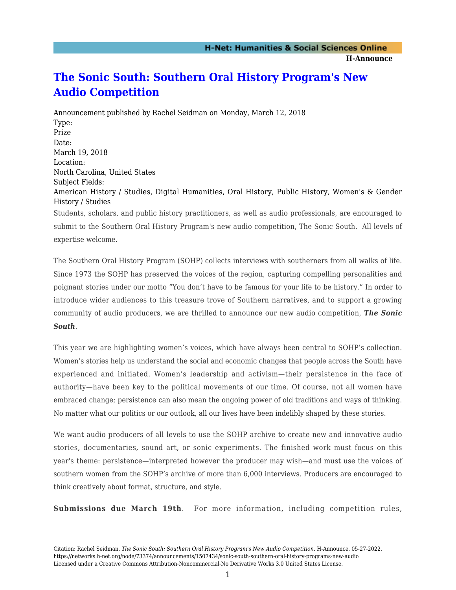## **[The Sonic South: Southern Oral History Program's New](https://networks.h-net.org/node/73374/announcements/1507434/sonic-south-southern-oral-history-programs-new-audio) [Audio Competition](https://networks.h-net.org/node/73374/announcements/1507434/sonic-south-southern-oral-history-programs-new-audio)**

Announcement published by Rachel Seidman on Monday, March 12, 2018 Type: Prize Date: March 19, 2018 Location: North Carolina, United States Subject Fields: American History / Studies, Digital Humanities, Oral History, Public History, Women's & Gender History / Studies Students, scholars, and public history practitioners, as well as audio professionals, are encouraged to

submit to the Southern Oral History Program's new audio competition, The Sonic South. All levels of expertise welcome.

The Southern Oral History Program (SOHP) collects interviews with southerners from all walks of life. Since 1973 the SOHP has preserved the voices of the region, capturing compelling personalities and poignant stories under our motto "You don't have to be famous for your life to be history." In order to introduce wider audiences to this treasure trove of Southern narratives, and to support a growing community of audio producers, we are thrilled to announce our new audio competition, *The Sonic South*.

This year we are highlighting women's voices, which have always been central to SOHP's collection. Women's stories help us understand the social and economic changes that people across the South have experienced and initiated. Women's leadership and activism—their persistence in the face of authority—have been key to the political movements of our time. Of course, not all women have embraced change; persistence can also mean the ongoing power of old traditions and ways of thinking. No matter what our politics or our outlook, all our lives have been indelibly shaped by these stories.

We want audio producers of all levels to use the SOHP archive to create new and innovative audio stories, documentaries, sound art, or sonic experiments. The finished work must focus on this year's theme: persistence—interpreted however the producer may wish—and must use the voices of southern women from the SOHP's archive of more than 6,000 interviews. Producers are encouraged to think creatively about format, structure, and style.

**Submissions due March 19th**. For more information, including competition rules,

Citation: Rachel Seidman. *The Sonic South: Southern Oral History Program's New Audio Competition*. H-Announce. 05-27-2022. https://networks.h-net.org/node/73374/announcements/1507434/sonic-south-southern-oral-history-programs-new-audio Licensed under a Creative Commons Attribution-Noncommercial-No Derivative Works 3.0 United States License.